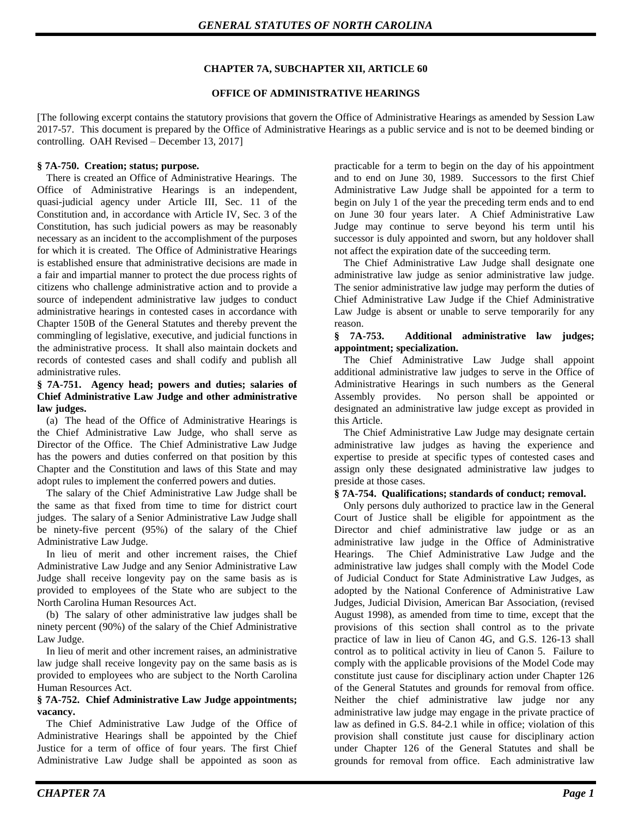# **CHAPTER 7A, SUBCHAPTER XII, ARTICLE 60**

### **OFFICE OF ADMINISTRATIVE HEARINGS**

[The following excerpt contains the statutory provisions that govern the Office of Administrative Hearings as amended by Session Law 2017-57. This document is prepared by the Office of Administrative Hearings as a public service and is not to be deemed binding or controlling. OAH Revised – December 13, 2017]

### **§ 7A-750. Creation; status; purpose.**

There is created an Office of Administrative Hearings. The Office of Administrative Hearings is an independent, quasi-judicial agency under Article III, Sec. 11 of the Constitution and, in accordance with Article IV, Sec. 3 of the Constitution, has such judicial powers as may be reasonably necessary as an incident to the accomplishment of the purposes for which it is created. The Office of Administrative Hearings is established ensure that administrative decisions are made in a fair and impartial manner to protect the due process rights of citizens who challenge administrative action and to provide a source of independent administrative law judges to conduct administrative hearings in contested cases in accordance with Chapter 150B of the General Statutes and thereby prevent the commingling of legislative, executive, and judicial functions in the administrative process. It shall also maintain dockets and records of contested cases and shall codify and publish all administrative rules.

### **§ 7A-751. Agency head; powers and duties; salaries of Chief Administrative Law Judge and other administrative law judges.**

(a) The head of the Office of Administrative Hearings is the Chief Administrative Law Judge, who shall serve as Director of the Office. The Chief Administrative Law Judge has the powers and duties conferred on that position by this Chapter and the Constitution and laws of this State and may adopt rules to implement the conferred powers and duties.

The salary of the Chief Administrative Law Judge shall be the same as that fixed from time to time for district court judges. The salary of a Senior Administrative Law Judge shall be ninety-five percent (95%) of the salary of the Chief Administrative Law Judge.

In lieu of merit and other increment raises, the Chief Administrative Law Judge and any Senior Administrative Law Judge shall receive longevity pay on the same basis as is provided to employees of the State who are subject to the North Carolina Human Resources Act.

(b) The salary of other administrative law judges shall be ninety percent (90%) of the salary of the Chief Administrative Law Judge.

In lieu of merit and other increment raises, an administrative law judge shall receive longevity pay on the same basis as is provided to employees who are subject to the North Carolina Human Resources Act.

### **§ 7A-752. Chief Administrative Law Judge appointments; vacancy.**

The Chief Administrative Law Judge of the Office of Administrative Hearings shall be appointed by the Chief Justice for a term of office of four years. The first Chief Administrative Law Judge shall be appointed as soon as practicable for a term to begin on the day of his appointment and to end on June 30, 1989. Successors to the first Chief Administrative Law Judge shall be appointed for a term to begin on July 1 of the year the preceding term ends and to end on June 30 four years later. A Chief Administrative Law Judge may continue to serve beyond his term until his successor is duly appointed and sworn, but any holdover shall not affect the expiration date of the succeeding term.

The Chief Administrative Law Judge shall designate one administrative law judge as senior administrative law judge. The senior administrative law judge may perform the duties of Chief Administrative Law Judge if the Chief Administrative Law Judge is absent or unable to serve temporarily for any reason.

### **§ 7A-753. Additional administrative law judges; appointment; specialization.**

The Chief Administrative Law Judge shall appoint additional administrative law judges to serve in the Office of Administrative Hearings in such numbers as the General Assembly provides. No person shall be appointed or designated an administrative law judge except as provided in this Article.

The Chief Administrative Law Judge may designate certain administrative law judges as having the experience and expertise to preside at specific types of contested cases and assign only these designated administrative law judges to preside at those cases.

# **§ 7A-754. Qualifications; standards of conduct; removal.**

Only persons duly authorized to practice law in the General Court of Justice shall be eligible for appointment as the Director and chief administrative law judge or as an administrative law judge in the Office of Administrative Hearings. The Chief Administrative Law Judge and the administrative law judges shall comply with the Model Code of Judicial Conduct for State Administrative Law Judges, as adopted by the National Conference of Administrative Law Judges, Judicial Division, American Bar Association, (revised August 1998), as amended from time to time, except that the provisions of this section shall control as to the private practice of law in lieu of Canon 4G, and G.S. 126-13 shall control as to political activity in lieu of Canon 5. Failure to comply with the applicable provisions of the Model Code may constitute just cause for disciplinary action under Chapter 126 of the General Statutes and grounds for removal from office. Neither the chief administrative law judge nor any administrative law judge may engage in the private practice of law as defined in G.S. 84-2.1 while in office; violation of this provision shall constitute just cause for disciplinary action under Chapter 126 of the General Statutes and shall be grounds for removal from office. Each administrative law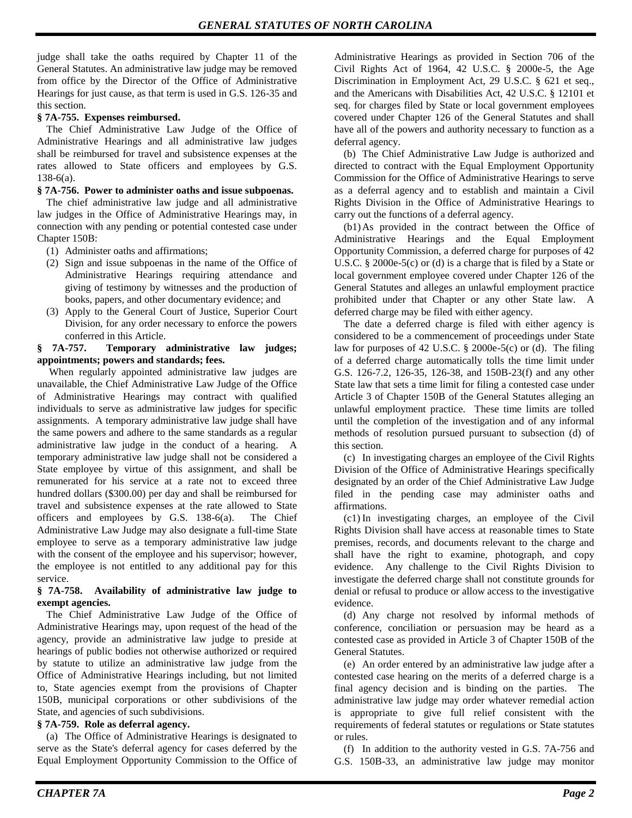judge shall take the oaths required by Chapter 11 of the General Statutes. An administrative law judge may be removed from office by the Director of the Office of Administrative Hearings for just cause, as that term is used in G.S. 126-35 and this section.

# **§ 7A-755. Expenses reimbursed.**

The Chief Administrative Law Judge of the Office of Administrative Hearings and all administrative law judges shall be reimbursed for travel and subsistence expenses at the rates allowed to State officers and employees by G.S. 138-6(a).

# **§ 7A-756. Power to administer oaths and issue subpoenas.**

The chief administrative law judge and all administrative law judges in the Office of Administrative Hearings may, in connection with any pending or potential contested case under Chapter 150B:

- (1) Administer oaths and affirmations;
- (2) Sign and issue subpoenas in the name of the Office of Administrative Hearings requiring attendance and giving of testimony by witnesses and the production of books, papers, and other documentary evidence; and
- (3) Apply to the General Court of Justice, Superior Court Division, for any order necessary to enforce the powers conferred in this Article.

### **§ 7A-757. Temporary administrative law judges; appointments; powers and standards; fees.**

When regularly appointed administrative law judges are unavailable, the Chief Administrative Law Judge of the Office of Administrative Hearings may contract with qualified individuals to serve as administrative law judges for specific assignments. A temporary administrative law judge shall have the same powers and adhere to the same standards as a regular administrative law judge in the conduct of a hearing. A temporary administrative law judge shall not be considered a State employee by virtue of this assignment, and shall be remunerated for his service at a rate not to exceed three hundred dollars (\$300.00) per day and shall be reimbursed for travel and subsistence expenses at the rate allowed to State officers and employees by G.S. 138-6(a). The Chief Administrative Law Judge may also designate a full-time State employee to serve as a temporary administrative law judge with the consent of the employee and his supervisor; however, the employee is not entitled to any additional pay for this service.

### **§ 7A-758. Availability of administrative law judge to exempt agencies.**

The Chief Administrative Law Judge of the Office of Administrative Hearings may, upon request of the head of the agency, provide an administrative law judge to preside at hearings of public bodies not otherwise authorized or required by statute to utilize an administrative law judge from the Office of Administrative Hearings including, but not limited to, State agencies exempt from the provisions of Chapter 150B, municipal corporations or other subdivisions of the State, and agencies of such subdivisions.

# **§ 7A-759. Role as deferral agency.**

(a) The Office of Administrative Hearings is designated to serve as the State's deferral agency for cases deferred by the Equal Employment Opportunity Commission to the Office of Administrative Hearings as provided in Section 706 of the Civil Rights Act of 1964, 42 U.S.C. § 2000e-5, the Age Discrimination in Employment Act, 29 U.S.C. § 621 et seq., and the Americans with Disabilities Act, 42 U.S.C. § 12101 et seq. for charges filed by State or local government employees covered under Chapter 126 of the General Statutes and shall have all of the powers and authority necessary to function as a deferral agency.

(b) The Chief Administrative Law Judge is authorized and directed to contract with the Equal Employment Opportunity Commission for the Office of Administrative Hearings to serve as a deferral agency and to establish and maintain a Civil Rights Division in the Office of Administrative Hearings to carry out the functions of a deferral agency.

(b1)As provided in the contract between the Office of Administrative Hearings and the Equal Employment Opportunity Commission, a deferred charge for purposes of 42 U.S.C. § 2000e-5(c) or (d) is a charge that is filed by a State or local government employee covered under Chapter 126 of the General Statutes and alleges an unlawful employment practice prohibited under that Chapter or any other State law. A deferred charge may be filed with either agency.

The date a deferred charge is filed with either agency is considered to be a commencement of proceedings under State law for purposes of 42 U.S.C. § 2000e-5(c) or (d). The filing of a deferred charge automatically tolls the time limit under G.S. 126-7.2, 126-35, 126-38, and 150B-23(f) and any other State law that sets a time limit for filing a contested case under Article 3 of Chapter 150B of the General Statutes alleging an unlawful employment practice. These time limits are tolled until the completion of the investigation and of any informal methods of resolution pursued pursuant to subsection (d) of this section.

(c) In investigating charges an employee of the Civil Rights Division of the Office of Administrative Hearings specifically designated by an order of the Chief Administrative Law Judge filed in the pending case may administer oaths and affirmations.

(c1) In investigating charges, an employee of the Civil Rights Division shall have access at reasonable times to State premises, records, and documents relevant to the charge and shall have the right to examine, photograph, and copy evidence. Any challenge to the Civil Rights Division to investigate the deferred charge shall not constitute grounds for denial or refusal to produce or allow access to the investigative evidence.

(d) Any charge not resolved by informal methods of conference, conciliation or persuasion may be heard as a contested case as provided in Article 3 of Chapter 150B of the General Statutes.

(e) An order entered by an administrative law judge after a contested case hearing on the merits of a deferred charge is a final agency decision and is binding on the parties. The administrative law judge may order whatever remedial action is appropriate to give full relief consistent with the requirements of federal statutes or regulations or State statutes or rules.

(f) In addition to the authority vested in G.S. 7A-756 and G.S. 150B-33, an administrative law judge may monitor